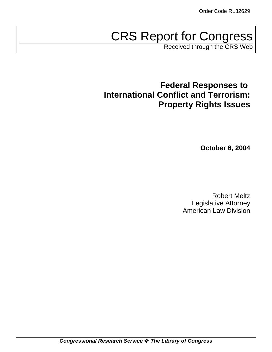# CRS Report for Congress

Received through the CRS Web

**Federal Responses to International Conflict and Terrorism: Property Rights Issues**

**October 6, 2004**

Robert Meltz Legislative Attorney American Law Division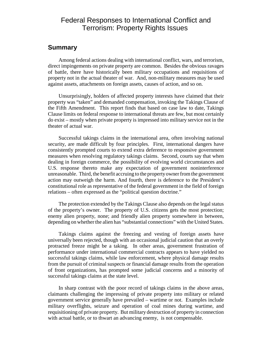### Federal Responses to International Conflict and Terrorism: Property Rights Issues

### **Summary**

Among federal actions dealing with international conflict, wars, and terrorism, direct impingements on private property are common. Besides the obvious ravages of battle, there have historically been military occupations and requisitions of property not in the actual theater of war. And, non-military measures may be used against assets, attachments on foreign assets, causes of action, and so on.

Unsurprisingly, holders of affected property interests have claimed that their property was "taken" and demanded compensation, invoking the Takings Clause of the Fifth Amendment. This report finds that based on case law to date, Takings Clause limits on federal response to international threats are few, but most certainly do exist – mostly when private property is impressed into military service not in the theater of actual war.

Successful takings claims in the international area, often involving national security, are made difficult by four principles. First, international dangers have consistently prompted courts to extend extra deference to responsive government measures when resolving regulatory takings claims. Second, courts say that when dealing in foreign commerce, the possibility of evolving world circumstances and U.S. response thereto make any expectation of government noninterference unreasonable. Third, the benefit accruing to the property owner from the government action may outweigh the harm. And fourth, there is deference to the President's constitutional role as representative of the federal government in the field of foreign relations – often expressed as the "political question doctrine."

The protection extended by the Takings Clause also depends on the legal status of the property's owner. The property of U.S. citizens gets the most protection; enemy alien property, none; and friendly alien property somewhere in between, depending on whether the alien has "substantial connections" with the United States.

Takings claims against the freezing and vesting of foreign assets have universally been rejected, though with an occasional judicial caution that an overly protracted freeze might be a taking. In other areas, government frustration of performance under international commercial contracts appears to have yielded no successful takings claims, while law enforcement, where physical damage results from the pursuit of criminal suspects or financial damage results from the operation of front organizations, has prompted some judicial concerns and a minority of successful takings claims at the state level.

In sharp contrast with the poor record of takings claims in the above areas, claimants challenging the impressing of private property into military or related government service generally have prevailed – wartime or not. Examples include military overflights, seizure and operation of coal mines during wartime, and requisitioning of private property. But military destruction of property in connection with actual battle, or to thwart an advancing enemy, is not compensable.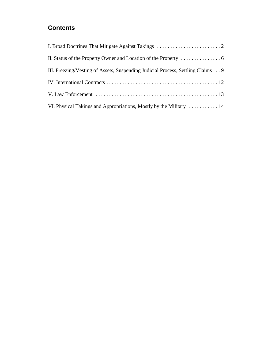### **Contents**

| III. Freezing/Vesting of Assets, Suspending Judicial Process, Settling Claims 9 |
|---------------------------------------------------------------------------------|
|                                                                                 |
|                                                                                 |
| VI. Physical Takings and Appropriations, Mostly by the Military  14             |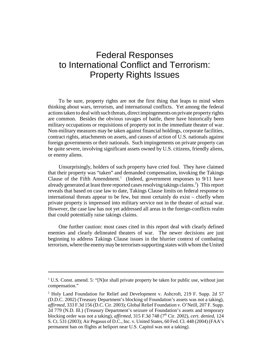## Federal Responses to International Conflict and Terrorism: Property Rights Issues

To be sure, property rights are not the first thing that leaps to mind when thinking about wars, terrorism, and international conflicts. Yet among the federal actions taken to deal with such threats, direct impingements on private property rights are common. Besides the obvious ravages of battle, there have historically been military occupations or requisitions of property not in the immediate theater of war. Non-military measures may be taken against financial holdings, corporate facilities, contract rights, attachments on assets, and causes of action of U.S. nationals against foreign governments or their nationals. Such impingements on private property can be quite severe, involving significant assets owned by U.S. citizens, friendly aliens, or enemy aliens.

Unsurprisingly, holders of such property have cried foul. They have claimed that their property was "taken" and demanded compensation, invoking the Takings Clause of the Fifth Amendment.<sup>1</sup> (Indeed, government responses to 9/11 have already generated at least three reported cases resolving takings claims.<sup>2</sup>) This report reveals that based on case law to date, Takings Clause limits on federal response to international threats appear to be few, but most certainly do exist – chiefly when private property is impressed into military service not in the theater of actual war. However, the case law has not yet addressed all areas in the foreign-conflicts realm that could potentially raise takings claims.

One further caution: most cases cited in this report deal with clearly defined enemies and clearly delineated theaters of war. The newer decisions are just beginning to address Takings Clause issues in the blurrier context of combating terrorism, where the enemy may be terrorism-supporting states with whom the United

 $1$  U.S. Const. amend. 5: "[N]or shall private property be taken for public use, without just compensation."

<sup>&</sup>lt;sup>2</sup> Holy Land Foundation for Relief and Development v. Ashcroft, 219 F. Supp. 2d 57 (D.D.C. 2002) (Treasury Department's blocking of Foundation's assets was not a taking), *affirmed*, 333 F.3d 156 (D.C. Cir. 2003); Global Relief Foundation v. O'Neill, 207 F. Supp. 2d 779 (N.D. Ill.) (Treasury Department's seizure of Foundation's assets and temporary blocking order was not a taking), *affirmed*, 315 F.3d 748 (7th Cir. 2002), *cert. denied*, 124 S. Ct. 531 (2003); Air Pegasus of D.C., Inc. v. United States, 60 Fed. Cl. 448 (2004) (FAA's permanent ban on flights at heliport near U.S. Capitol was not a taking).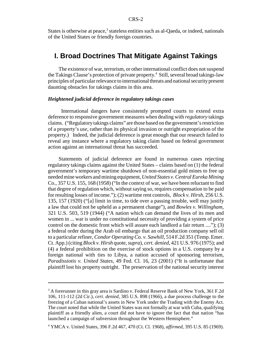States is otherwise at peace,<sup>3</sup> stateless entities such as al-Qaeda, or indeed, nationals of the United States or friendly foreign countries.

### **I. Broad Doctrines That Mitigate Against Takings**

The existence of war, terrorism, or other international conflict does not suspend the Takings Clause's protection of private property.<sup>4</sup> Still, several broad takings-law principles of particular relevance to international threats and national security present daunting obstacles for takings claims in this area.

### *Heightened judicial deference in regulatory takings cases*

 International dangers have consistently prompted courts to extend extra deference to responsive government measures when dealing with *regulatory* takings claims. ("Regulatory takings claims" are those based on the government's restriction of a property's *use*, rather than its physical invasion or outright expropriation of the property.) Indeed, the judicial deference is great enough that our research failed to reveal any instance where a regulatory taking claim based on federal government action against an international threat has succeeded.

Statements of judicial deference are found in numerous cases rejecting regulatory takings claims against the United States – claims based on (1) the federal government's temporary wartime shutdown of non-essential gold mines to free up needed mine workers and mining equipment, *United States v. Central Eureka Mining* Co., 357 U.S. 155, 168 (1958) ("In the context of war, we have been reluctant to find that degree of regulation which, without saying so, requires compensation to be paid for resulting losses of income."); (2) wartime rent controls, *Block v. Hirsh*, 256 U.S. 135, 157 (1920) ("[a] limit in time, to tide over a passing trouble, well may justify a law that could not be upheld as a permanent change"), and *Bowles v. Willingham*, 321 U.S. 503, 519 (1944) ("A nation which can demand the lives of its men and women in ... war is under no constitutional necessity of providing a system of price control on the domestic front which will assure each landlord a fair return ...."); (3) a federal order during the Arab oil embargo that an oil production company sell oil to a particular refiner, *Condor Operating Co. v. Sawhill*, 514 F.2d 351 (Temp. Emer. Ct. App.) (citing *Block v. Hirsh* quote, *supra*), *cert. denied*, 421 U.S. 976 (1975); and (4) a federal prohibition on the exercise of stock options in a U.S. company by a foreign national with ties to Libya, a nation accused of sponsoring terrorism, *Paradissiotis v. United States*, 49 Fed. Cl. 16, 23 (2001) ("It is unfortunate that plaintiff lost his property outright. The preservation of the national security interest

<sup>&</sup>lt;sup>3</sup> A forerunner in this gray area is Sardino v. Federal Reserve Bank of New York, 361 F.2d 106, 111-112 (2d Cir.), *cert. denied*, 385 U.S. 898 (1966), a due process challenge to the freezing of a Cuban national's assets in New York under the Trading with the Enemy Act. The court noted that while the United States was not formally at war with Cuba, qualifying plaintiff as a friendly alien, a court did not have to ignore the fact that that nation "has launched a campaign of subversion throughout the Western Hemisphere."

<sup>4</sup> YMCA v. United States, 396 F.2d 467, 470 (Ct. Cl. 1968), *affirmed*, 395 U.S. 85 (1969).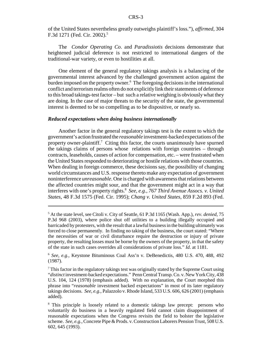of the United States nevertheless greatly outweighs plaintiff's loss."), *affirmed*, 304 F.3d 1271 (Fed. Cir. 2002).<sup>5</sup>

The *Condor Operating Co*. and *Paradissiotis* decisions demonstrate that heightened judicial deference is not restricted to international dangers of the traditional-war variety, or even to hostilities at all.

One element of the general regulatory takings analysis is a balancing of the governmental interest advanced by the challenged government action against the burden imposed on the property owner.<sup>6</sup> The foregoing decisions in the international conflict and terrorism realms often do not explicitly link their statements of deference to this broad takings-test factor – but such a relative weighing is obviously what they are doing. In the case of major threats to the security of the state, the governmental interest is deemed to be so compelling as to be dispositive, or nearly so.

#### *Reduced expectations when doing business internationally*

Another factor in the general regulatory takings test is the extent to which the government's action frustrated the *reasonable* investment-backed expectations of the property owner-plaintiff.<sup>7</sup> Citing this factor, the courts unanimously have spurned the takings claims of persons whose relations with foreign countries – through contracts, leaseholds, causes of action for compensation, etc. – were frustrated when the United States responded to deteriorating or hostile relations with those countries. When dealing in foreign commerce, these decisions say, the possibility of changing world circumstances and U.S. response thereto make any expectation of government noninterference *unreasonable*. One is charged with awareness that relations between the affected countries might sour, and that the government might act in a way that interferes with one's property rights.8 *See, e.g., 767 Third Avenue Assocs. v. United States*, 48 F.3d 1575 (Fed. Cir. 1995); *Chang v. United States*, 859 F.2d 893 (Fed.

<sup>5</sup> At the state level, see Citoli v. City of Seattle, 61 P.3d 1165 (Wash. App.), *rev. denied*, 75 P.3d 968 (2003), where police shut off utilities to a building illegally occupied and barricaded by protesters, with the result that a lawful business in the building ultimately was forced to close permanently. In finding no taking of the business, the court stated: "Where the necessities of war or civil disturbance require the destruction or injury of private property, the resulting losses must be borne by the owners of the property, in that the safety of the state in such cases overrides all considerations of private loss." *Id*. at 1181.

<sup>6</sup> *See, e.g.*, Keystone Bituminous Coal Ass'n v. DeBenedictis, 480 U.S. 470, 488, 492 (1987).

 $7$  This factor in the regulatory takings test was originally stated by the Supreme Court using "*distinct* investment-backed expectations." Penn Central Transp. Co. v. New York City, 438 U.S. 104, 124 (1978) (emphasis added). With no explanation, the Court morphed this phrase into "*reasonable* investment backed expectations" in most of its later regulatory takings decisions. *See, e.g.*, Palazzolo v. Rhode Island, 533 U.S. 606, 626 (2001) (emphasis added).

<sup>&</sup>lt;sup>8</sup> This principle is loosely related to a domestic takings law precept: persons who voluntarily do business in a heavily regulated field cannot claim disappointment of reasonable expectations when the Congress revisits the field to bolster the legislative scheme. *See, e.g.*, Concrete Pipe & Prods. v. Construction Laborers Pension Trust, 508 U.S. 602, 645 (1993).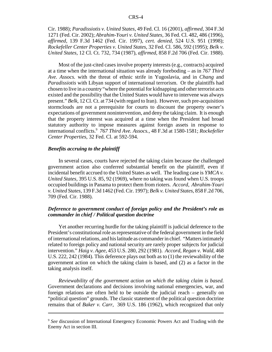Cir. 1988); *Paradissiotis v. United States*, 49 Fed. Cl. 16 (2001), *affirmed*, 304 F.3d 1271 (Fed. Cir. 2002); *Abrahim-Youri v. United States*, 36 Fed. Cl. 482, 486 (1996), *affirmed*, 139 F.3d 1462 (Fed. Cir. 1997), *cert. denied*, 524 U.S. 951 (1998); *Rockefeller Center Properties v. United States*, 32 Fed. Cl. 586, 592 (1995); *Belk v. United States*, 12 Cl. Ct. 732, 734 (1987), *affirmed*, 858 F.2d 706 (Fed. Cir. 1988).

Most of the just-cited cases involve property interests (e.g., contracts) acquired at a time when the international situation was already foreboding – as in *767 Third Ave. Assocs.* with the threat of ethnic strife in Yugoslavia, and in *Chang* and *Paradissiotis* with Libyan support of international terrorism. Or the plaintiffs had chosen to live in a country "where the potential for kidnapping and other terrorist acts existed and the possibility that the United States would have to intervene was always present." *Belk*, 12 Cl. Ct. at 734 (with regard to Iran). However, such pre-acquisition stormclouds are not a prerequisite for courts to discount the property owner's expectations of government nonintervention, and deny the taking claim. It is enough that the property interest was acquired at a time when the President had broad statutory authority to impose measures against foreign assets in response to international conflicts.9 *767 Third Ave. Assocs.*, 48 F.3d at 1580-1581; *Rockefeller Center Properties*, 32 Fed. Cl. at 592-594.

### *Benefits accruing to the plaintiff*

In several cases, courts have rejected the taking claim because the challenged government action also conferred substantial benefit on the plaintiff, even if incidental benefit accrued to the United States as well. The leading case is *YMCA v. United States*, 395 U.S. 85, 92 (1969), where no taking was found when U.S. troops occupied buildings in Panama to protect them from rioters. *Accord*, *Abrahim-Youri v. United States*, 139 F.3d 1462 (Fed. Cir. 1997); *Belk v. United States*, 858 F.2d 706, 709 (Fed. Cir. 1988).

### *Deference to government conduct of foreign policy and the President's role as commander in chief / Political question doctrine*

Yet another recurring hurdle for the taking plaintiff is judicial deference to the President's constitutional role as representative of the federal government in the field of international relations, and his latitude as commander in chief. "Matters intimately related to foreign policy and national security are rarely proper subjects for judicial intervention." *Haig v. Agee*, 453 U.S. 280, 292 (1981). *Accord*, *Regan v. Wald*, 468 U.S. 222, 242 (1984). This deference plays out both as to (1) the reviewability of the government action on which the taking claim is based, and (2) as a factor in the taking analysis itself.

*Reviewability of the government action on which the taking claim is based.* Government declarations and decisions involving national emergencies, war, and foreign relations are often held to be outside the judicial reach – generally on "political question" grounds. The classic statement of the political question doctrine remains that of *Baker v. Carr*, 369 U.S. 186 (1962), which recognized that only

<sup>9</sup> *See* discussion of International Emergency Economic Powers Act and Trading with the Enemy Act in section III.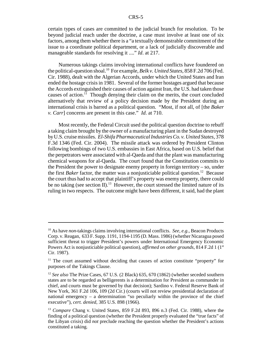certain types of cases are committed to the judicial branch for resolution. To be beyond judicial reach under the doctrine, a case must involve at least one of six factors, among them whether there is a "a textually demonstrable commitment of the issue to a coordinate political department, or a lack of judicially discoverable and manageable standards for resolving it ...." *Id*. at 217.

Numerous takings claims involving international conflicts have foundered on the political-question shoal.10 For example, *Belk v. United States*, 858 F.2d 706 (Fed. Cir. 1988), dealt with the Algerian Accords, under which the United States and Iran ended the hostage crisis in 1981. Several of the former hostages argued that because the Accords extinguished their causes of action against Iran, the U.S. had taken those causes of action.<sup>11</sup> Though denying their claim on the merits, the court concluded alternatively that review of a policy decision made by the President during an international crisis is barred as a political question. "Most, if not all, of [the *Baker v. Carr*] concerns are present in this case." *Id*. at 710.

Most recently, the Federal Circuit used the political question doctrine to rebuff a taking claim brought by the owner of a manufacturing plant in the Sudan destroyed by U.S. cruise missiles. *El-Shifa Pharmaceutical Industries Co. v. United States*, 378 F.3d 1346 (Fed. Cir. 2004). The missile attack was ordered by President Clinton following bombings of two U.S. embassies in East Africa, based on U.S. belief that the perpetrators were associated with al-Qaeda and that the plant was manufacturing chemical weapons for al-Qaeda. The court found that the Constitution commits to the President the power to designate enemy property in foreign territory – so, under the first *Baker* factor, the matter was a nonjusticiable political question.<sup>12</sup> Because the court thus had to accept that plaintiff's property was enemy property, there could be no taking (see section II).<sup>13</sup> However, the court stressed the limited nature of its ruling in two respects. The outcome might have been different, it said, had the plant

<sup>10</sup> As have *non*-takings claims involving international conflicts. *See, e.g.*, Beacon Products Corp. v. Reagan, 633 F. Supp. 1191, 1194-1195 (D. Mass. 1986) (whether Nicaragua posed sufficient threat to trigger President's powers under International Emergency Economic Powers Act is nonjusticiable political question), *affirmed on other grounds*, 814 F.2d 1 (1<sup>st</sup>) Cir. 1987).

 $11$  The court assumed without deciding that causes of action constitute "property" for purposes of the Takings Clause.

<sup>12</sup> *See also* The Prize Cases, 67 U.S. (2 Black) 635, 670 (1862) (whether seceded southern states are to be regarded as belligerents is a determination for President as commander in chief, and courts must be governed by that decision); Sardino v. Federal Reserve Bank of New York, 361 F.2d 106, 109 (2d Cir.) (courts will not review presidential declaration of national emergency – a determination "so peculiarly within the province of the chief executive"), *cert. denied*, 385 U.S. 898 (1966).

<sup>13</sup> *Compare* Chang v. United States, 859 F.2d 893, 896 n.3 (Fed. Cir. 1988), where the finding of a political question (whether the President properly evaluated the "true facts" of the Libyan crisis) did *not* preclude reaching the question whether the President's actions constituted a taking.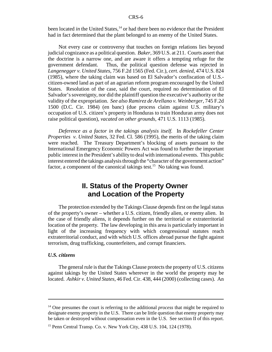been located *in* the United States,<sup>14</sup> or had there been no evidence that the President had in fact determined that the plant belonged to an enemy of the United States.

Not every case or controversy that touches on foreign relations lies beyond judicial cognizance as a political question. *Baker*, 369 U.S. at 211. Courts assert that the doctrine is a narrow one, and are aware it offers a tempting refuge for the government defendant. Thus, the political question defense was rejected in *Langenegger v. United States*, 756 F.2d 1565 (Fed. Cir.), *cert. denied*, 474 U.S. 824 (1985), where the taking claim was based on El Salvador's confiscation of U.S. citizen-owned land as part of an agrarian reform program encouraged by the United States. Resolution of the case, said the court, required no determination of El Salvador's sovereignty, nor did the plaintiff question the executive's authority or the validity of the expropriation. *See also Ramirez de Arellano v. Weinberger*, 745 F.2d 1500 (D.C. Cir. 1984) (en banc) (due process claim against U.S. military's occupation of U.S. citizen's property in Honduras to train Honduran army does not raise political question), *vacated on other grounds*, 471 U.S. 1113 (1985).

*Deference as a factor in the takings analysis itself.* In *Rockefeller Center Properties v. United States*, 32 Fed. Cl. 586 (1995), the merits of the taking claim were reached. The Treasury Department's blocking of assets pursuant to the International Emergency Economic Powers Act was found to further the important public interest in the President's ability to deal with international events. This public interest entered the takings analysis through the "character of the government action" factor, a component of the canonical takings test.<sup>15</sup> No taking was found.

### **II. Status of the Property Owner and Location of the Property**

The protection extended by the Takings Clause depends first on the legal status of the property's owner – whether a U.S. citizen, friendly alien, or enemy alien. In the case of friendly aliens, it depends further on the territorial or extraterritorial location of the property. The law developing in this area is particularly important in light of the increasing frequency with which congressional statutes reach extraterritorial conduct, and with which U.S. offices abroad pursue the fight against terrorism, drug trafficking, counterfeiters, and corrupt financiers.

### *U.S. citizens*

The general rule is that the Takings Clause protects the property of U.S. citizens against takings by the United States wherever in the world the property may be located. *Ashkir v. United States*, 46 Fed. Cir. 438, 444 (2000) (collecting cases). An

<sup>&</sup>lt;sup>14</sup> One presumes the court is referring to the additional *process* that might be required to designate enemy property in the U.S. There can be little question that enemy property may be taken or destroyed without compensation even in the U.S. See section II of this report.

<sup>15</sup> Penn Central Transp. Co. v. New York City, 438 U.S. 104, 124 (1978).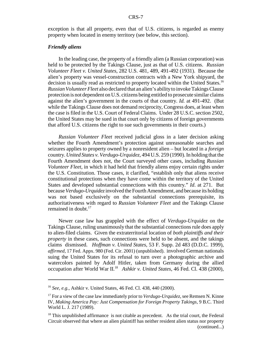exception is that all property, even that of U.S. citizens, is regarded as enemy property when located in enemy territory (see below, this section).

#### *Friendly aliens*

In the leading case, the property of a friendly alien (a Russian corporation) was held to be protected by the Takings Clause, just as that of U.S. citizens. *Russian Volunteer Fleet v. United States*, 282 U.S. 481, 489, 491-492 (1931). Because the alien's property was vessel-construction contracts with a New York shipyard, the decision is usually read as restricted to property located within the United States.<sup>16</sup> *Russian Volunteer Fleet* also declared that an alien's ability to invoke Takings Clause protection is not dependent on U.S. citizens being entitled to prosecute similar claims against the alien's government in the courts of that country. *Id.* at 491-492. (But while the Takings Clause does not demand reciprocity, Congress does, at least when the case is filed in the U.S. Court of Federal Claims. Under 28 U.S.C. section 2502, the United States may be sued in that court only by citizens of foreign governments that afford U.S. citizens the right to sue such governments in their courts.)

*Russian Volunteer Fleet* received judicial gloss in a later decision asking whether the Fourth Amendment's protection against unreasonable searches and seizures applies to property owned by a nonresident alien – but located in a *foreign* country. *United States v. Verdugo-Urquidez*, 494 U.S. 259 (1990). In holding that the Fourth Amendment does not, the Court surveyed other cases, including *Russian Volunteer Fleet*, in which it had held that friendly aliens enjoy certain rights under the U.S. Constitution. Those cases, it clarified, "establish only that aliens receive constitutional protections when they have come within the territory of the United States and developed substantial connections with this country." *Id*. at 271. But because *Verdugo-Urquidez* involved the Fourth Amendment, and because its holding was not based exclusively on the substantial connections prerequisite, its authoritativeness with regard to *Russian Volunteer Fleet* and the Takings Clause remained in doubt.<sup>17</sup>

Newer case law has grappled with the effect of *Verdugo-Urquidez* on the Takings Clause, ruling unanimously that the substantial connections rule does apply to alien-filed claims. Given the extraterritorial location of *both plaintiffs and their property* in these cases, such connections were held to be absent, and the takings claims dismissed. *Hoffman v. United States*, 53 F. Supp. 2d 483 (D.D.C. 1999), *affirmed*, 17 Fed. Appx. 980 (Fed. Cir. 2001) (unpublished). involved German nationals suing the United States for its refusal to turn over a photographic archive and watercolors painted by Adolf Hitler, taken from Germany during the allied occupation after World War II.18 *Ashkir v. United States*, 46 Fed. Cl. 438 (2000),

<sup>16</sup> *See, e.g.*, Ashkir v. United States, 46 Fed. Cl. 438, 440 (2000).

<sup>&</sup>lt;sup>17</sup> For a view of the case law immediately prior to *Verdugo-Urquidez*, see Remsen N. Kinne IV, *Making America Pay: Just Compensation for Foreign Property Takings*, 9 B.C. Third World L. J. 217 (1989).

 $18$  This unpublished affirmance is not citable as precedent. As the trial court, the Federal Circuit observed that where an alien plaintiff has neither resident alien status nor property (continued...)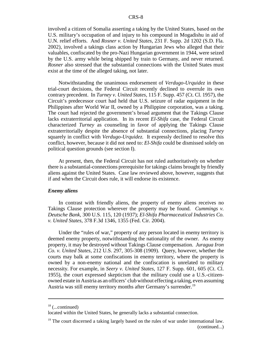involved a citizen of Somalia asserting a taking by the United States, based on the U.S. military's occupation of and injury to his compound in Mogadishu in aid of U.N. relief efforts. And *Rosner v. United States*, 231 F. Supp. 2d 1202 (S.D. Fla. 2002), involved a takings class action by Hungarian Jews who alleged that their valuables, confiscated by the pro-Nazi Hungarian government in 1944, were seized by the U.S. army while being shipped by train to Germany, and never returned. *Rosner* also stressed that the substantial connections with the United States must exist at the time of the alleged taking, not later.

Notwithstanding the unanimous endorsement of *Verdugo-Urquidez* in these trial-court decisions, the Federal Circuit recently declined to overrule its own contrary precedent. In *Turney v. United States*, 115 F. Supp. 457 (Ct. Cl. 1957), the Circuit's predecessor court had held that U.S. seizure of radar equipment in the Philippines after World War II, owned by a Philippine corporation, was a taking. The court had rejected the government's broad argument that the Takings Clause lacks extraterritorial application. In its recent *El-Shifa* case, the Federal Circuit characterized *Turney* as counseling in favor of applying the Takings Clause extraterritorially despite the absence of substantial connections, placing *Turney* squarely in conflict with *Verdugo-Urquidez.* It expressly declined to resolve this conflict, however, because it did not need to: *El-Shifa* could be dismissed solely on political question grounds (see section I).

At present, then, the Federal Circuit has not ruled authoritatively on whether there is a substantial-connections prerequisite for takings claims brought by friendly aliens against the United States. Case law reviewed above, however, suggests that if and when the Circuit does rule, it will endorse its existence.

### *Enemy aliens*

In contrast with friendly aliens, the property of enemy aliens receives no Takings Clause protection wherever the property may be found. *Cummings v. Deutsche Bank*, 300 U.S. 115, 120 (1937); *El-Shifa Pharmaceutical Industries Co. v. United States*, 378 F.3d 1346, 1355 (Fed. Cir. 2004).

Under the "rules of war," property of any person located in enemy territory is deemed enemy property, notwithstanding the nationality of the owner. As enemy property, it may be destroyed without Takings Clause compensation. *Juragua Iron Co. v. United States*, 212 U.S. 297, 305-308 (1909). Query, however, whether the courts may balk at some confiscations in enemy territory, where the property is owned by a non-enemy national and the confiscation is unrelated to military necessity. For example, in *Seery v. United States*, 127 F. Supp. 601, 605 (Ct. Cl. 1955), the court expressed skepticism that the military could use a U.S.-citizenowned estate in Austria as an officers' club without effecting a taking, even assuming Austria was still enemy territory months after Germany's surrender.<sup>19</sup>

 $18$  (...continued)

located within the United States, he generally lacks a substantial connection.

 $19$ <sup>19</sup> The court discerned a taking largely based on the rules of war under international law. (continued...)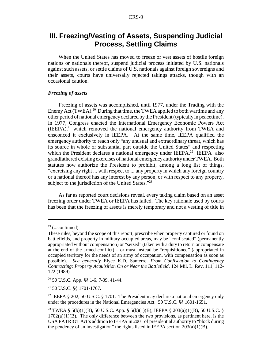### **III. Freezing/Vesting of Assets, Suspending Judicial Process, Settling Claims**

When the United States has moved to freeze or vest assets of hostile foreign nations or nationals thereof, suspend judicial process initiated by U.S. nationals against such assets, or settle claims of U.S. nationals against foreign sovereigns and their assets, courts have universally rejected takings attacks, though with an occasional caution.

### *Freezing of assets*

Freezing of assets was accomplished, until 1977, under the Trading with the Enemy Act (TWEA).<sup>20</sup> During that time, the TWEA applied to both wartime and any other period of national emergency declared by the President (typically in peacetime). In 1977, Congress enacted the International Emergency Economic Powers Act  $(IEEPA)<sup>21</sup>$  which removed the national emergency authority from TWEA and ensconced it exclusively in IEEPA. At the same time, IEEPA qualified the emergency authority to reach only "any unusual and extraordinary threat, which has its source in whole or substantial part outside the United States" and respecting which the President declares a national emergency under IEEPA.<sup>22</sup> IEEPA also grandfathered existing exercises of national emergency authority under TWEA. Both statutes now authorize the President to prohibit, among a long list of things, "exercising any right ... with respect to ... any property in which any foreign country or a national thereof has any interest by any person, or with respect to any property, subject to the jurisdiction of the United States."<sup>23</sup>

As far as reported court decisions reveal, every taking claim based on an asset freezing order under TWEA or IEEPA has failed. The key rationale used by courts has been that the freezing of assets is merely temporary and not a vesting of title in

 $20\,50\,$  U.S.C. App. §§ 1-6, 7-39, 41-44.

21 50 U.S.C. §§ 1701-1707.

<sup>22</sup> IEEPA § 202, 50 U.S.C. § 1701. The President may declare a national emergency only under the procedures in the National Emergencies Act. 50 U.S.C. §§ 1601-1651.

 $19$  (...continued)

These rules, beyond the scope of this report, prescribe when property captured or found on battlefields, and property in military-occupied areas, may be "confiscated" (permanently appropriated without compensation) or "seized" (taken with a duty to return or compensate at the end of the armed conflict) – or must instead be "requisitioned" (appropriated in occupied territory for the needs of an army of occupation, with compensation as soon as possible). *See generally* Elyce K.D. Santerre, *From Confiscation to Contingency Contracting: Property Acquisition On or Near the Battlefield*, 124 Mil. L. Rev. 111, 112- 122 (1989).

<sup>23</sup> TWEA § 5(b)(1)(B), 50 U.S.C. App. § 5(b)(1)(B); IEEPA § 203(a)(1)(B), 50 U.S.C. §  $1702(a)(1)(B)$ . The only difference between the two provisions, as pertinent here, is the USA PATRIOT Act's addition to IEEPA in 2001 of presidential authority to "block during the pendency of an investigation" the rights listed in IEEPA section  $203(a)(1)(B)$ .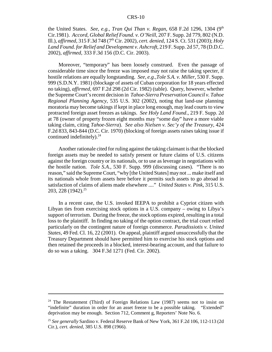the United States. *See, e.g., Tran Qui Than v. Regan*, 658 F.2d 1296, 1304 (9<sup>th</sup>) Cir.1981). *Accord*, *Global Relief Found. v. O'Neill*, 207 F. Supp. 2d 779, 802 (N.D. Ill.), *affirmed*, 315 F.3d 748 (7th Cir. 2002), *cert. denied*, 124 S. Ct. 531 (2003); *Holy Land Found. for Relief and Development v. Ashcroft*, 219 F. Supp. 2d 57, 78 (D.D.C. 2002), *affirmed*, 333 F.3d 156 (D.C. Cir. 2003).

Moreover, "temporary" has been loosely construed. Even the passage of considerable time since the freeze was imposed may not raise the taking specter, if hostile relations are equally longstanding. *See, e.g.,Tole S.A. v. Miller*, 530 F. Supp. 999 (S.D.N.Y. 1981) (blockage of assets of Cuban corporation for 18 years effected no taking), *affirmed*, 697 F.2d 298 (2d Cir. 1982) (table). Query, however, whether the Supreme Court's recent decision in *Tahoe-Sierra Preservation Council v. Tahoe Regional Planning Agency*, 535 U.S. 302 (2002), noting that land-use planning moratoria may become takings if kept in place long enough, may lead courts to view protracted foreign asset freezes as takings. *See Holy Land Found*., 219 F. Supp. 2d at 78 (owner of property frozen eight months may "some day" have a more viable taking claim, citing *Tahoe-Sierra*). *See also Nielsen v. Sec'y of the Treasury*, 424 F.2d 833, 843-844 (D.C. Cir. 1970) (blocking of foreign assets raises taking issue if continued indefinitely). $^{24}$ 

Another rationale cited for ruling against the taking claimant is that the blocked foreign assets may be needed to satisfy present or future claims of U.S. citizens against the foreign country or its nationals, or to use as leverage in negotiations with the hostile nation. *Tole S.A.*, 530 F. Supp. 999 (discussing cases). "There is no reason," said the Supreme Court, "why [the United States] may not ... make itself and its nationals whole from assets here before it permits such assets to go abroad in satisfaction of claims of aliens made elsewhere ...." *United States v. Pink*, 315 U.S. 203, 228  $(1942)^{25}$ 

In a recent case, the U.S. invoked IEEPA to prohibit a Cypriot citizen with Libyan ties from exercising stock options in a U.S. company – owing to Libya's support of terrorism. During the freeze, the stock options expired, resulting in a total loss to the plaintiff. In finding no taking of the option contract, the trial court relied particularly on the contingent nature of foreign commerce. *Paradissiotis v. United States*, 49 Fed. Cl. 16, 22 (2001). On appeal, plaintiff argued unsuccessfully that the Treasury Department should have permitted him to exercise his stock options and then retained the proceeds in a blocked, interest-bearing account, and that failure to do so was a taking. 304 F.3d 1271 (Fed. Cir. 2002).

<sup>&</sup>lt;sup>24</sup> The Restatement (Third) of Foreign Relations Law  $(1987)$  seems not to insist on "indefinite" duration in order for an asset freeze to be a possible taking. "Extended" deprivation may be enough. Section 712, Comment g, Reporters' Note No. 6.

<sup>25</sup> *See generally* Sardino v. Federal Reserve Bank of New York, 361 F.2d 106, 112-113 (2d Cir.), *cert. denied*, 385 U.S. 898 (1966).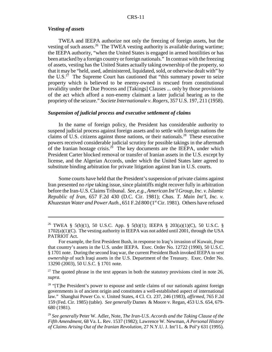### *Vesting of assets*

TWEA and IEEPA authorize not only the freezing of foreign assets, but the vesting of such assets.<sup>26</sup> The TWEA vesting authority is available during wartime; the IEEPA authority, "when the United States is engaged in armed hostilities or has been attacked by a foreign country or foreign nationals." In contrast with the freezing of assets, vesting has the United States actually taking ownership of the property, so that it may be "held, used, administered, liquidated, sold, or otherwise dealt with" by the U.S. $^{27}$  The Supreme Court has cautioned that "this summary power to seize property which is believed to be enemy-owned is rescued from constitutional invalidity under the Due Process and [Takings] Clauses ... only by those provisions of the act which afford a non-enemy claimant a later judicial hearing as to the propriety of the seizure." *Societe Internationale v. Rogers*, 357 U.S. 197, 211 (1958).

#### *Suspension of judicial process and executive settlement of claims*

In the name of foreign policy, the President has considerable authority to suspend judicial process against foreign assets and to settle with foreign nations the claims of U.S. citizens against those nations, or their nationals.<sup>28</sup> These executive powers received considerable judicial scrutiny for possible takings in the aftermath of the Iranian hostage crisis.<sup>29</sup> The key documents are the IEEPA, under which President Carter blocked removal or transfer of Iranian assets in the U.S. except by license, and the Algerian Accords, under which the United States later agreed to substitute binding arbitration for private litigation against Iran in U.S. courts.

Some courts have held that the President's suspension of private claims against Iran presented no *ripe* taking issue, since plaintiffs might recover fully in arbitration before the Iran-U.S. Claims Tribunal. *See, e.g., American Int'l Group, Inc. v. Islamic Republic of Iran*, 657 F.2d 430 (D.C. Cir. 1981); *Chas. T. Main Int'l, Inc. v.* Khuzestan Water and Power Auth., 651 F.2d 800 (1<sup>st</sup> Cir. 1981). Others have refused

<sup>26</sup> TWEA § 5(b)(1), 50 U.S.C. App. § 5(b)(1); IEEPA § 203(a)(1)(C), 50 U.S.C. §  $1702(a)(1)(C)$ . The vesting authority in IEEPA was not added until 2001, through the USA PATRIOT Act.

For example, the first President Bush, in response to Iraq's invasion of Kuwait, *froze* that country's assets in the U.S. under IEEPA. Exec. Order No. 12722 (1990), 50 U.S.C. § 1701 note. During the second Iraq war, the current President Bush invoked IEEPA to *vest ownership* of such Iraqi assets in the U.S. Department of the Treasury. Exec. Order No. 13290 (2003), 50 U.S.C. § 1701 note.

 $27$  The quoted phrase in the text appears in both the statutory provisions cited in note 26, *supra*.

 $28$  "[T]he President's power to espouse and settle claims of our nationals against foreign governments is of ancient origin and constitutes a well-established aspect of international law." Shanghai Power Co. v. United States, 4 Cl. Ct. 237, 246 (1983), *affirmed*, 765 F.2d 159 (Fed. Cir. 1985) (table). *See generally* Dames & Moore v. Regan, 453 U.S. 654, 679- 680 (1981).

<sup>29</sup> *See generally* Peter W. Adler, Note, *The Iran-U.S. Accords and the Taking Clause of the Fifth Amendment*, 68 Va. L. Rev. 1537 (1982); Lawrence W. Newman, *A Personal History of Claims Arising Out of the Iranian Revolution*, 27 N.Y.U. J. Int'l L. & Pol'y 631 (1995).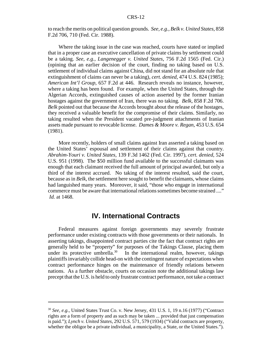to reach the merits on political question grounds. *See, e.g., Belk v. United States*, 858 F.2d 706, 710 (Fed. Cir. 1988).

Where the taking issue in the case was reached, courts have stated or implied that in a proper case an executive cancellation of private claims by settlement could be a taking. *See, e.g., Langenegger v. United States*, 756 F.2d 1565 (Fed. Cir.) (opining that an earlier decision of the court, finding no taking based on U.S. settlement of individual claims against China, did not stand for an absolute rule that extinguishment of claims can never be a taking), *cert. denied*, 474 U.S. 824 (1985); *American Int'l Group*, 657 F.2d at 446. Research reveals no instance, however, where a taking has been found. For example, when the United States, through the Algerian Accords, extinguished causes of action asserted by the former Iranian hostages against the government of Iran, there was no taking. *Belk*, 858 F.2d 706. *Belk* pointed out that because the Accords brought about the release of the hostages, they received a valuable benefit for the compromise of their claims. Similarly, no taking resulted when the President vacated pre-judgment attachments of Iranian assets made pursuant to revocable license. *Dames & Moore v. Regan*, 453 U.S. 654 (1981).

More recently, holders of small claims against Iran asserted a taking based on the United States' espousal and settlement of their claims against that country. *Abrahim-Youri v. United States*, 139 F.3d 1462 (Fed. Cir. 1997), *cert. denied*, 524 U.S. 951 (1998). The \$50 million fund available to the successful claimants was enough that each claimant received the full amount of principal awarded, but only a third of the interest accrued. No taking of the interest resulted, said the court, because as in *Belk*, the settlement here sought to benefit the claimants, whose claims had languished many years. Moreover, it said, "those who engage in international commerce must be aware that international relations sometimes become strained ...." *Id.* at 1468.

### **IV. International Contracts**

Federal measures against foreign governments may severely frustrate performance under existing contracts with those governments or their nationals. In asserting takings, disappointed contract parties cite the fact that contract rights are generally held to be "property" for purposes of the Takings Clause, placing them under its protective umbrella.<sup>30</sup> In the international realm, however, takings plaintiffs invariably collide head-on with the contingent nature of expectations when contract performance hinges on the maintenance of friendly relations between nations. As a further obstacle, courts on occasion note the additional takings law precept that the U.S. is held to only frustrate contract performance, not take a contract

<sup>30</sup> *See, e.g.*, United States Trust Co. v. New Jersey, 431 U.S. 1, 19 n.16 (1977) ("Contract rights are a form of property and as such may be taken ... provided that just compensation is paid."); *Lynch v. United States*, 292 U.S. 571, 579 (1934) ("Valid contracts are property, whether the obligor be a private individual, a municipality, a State, or the United States.").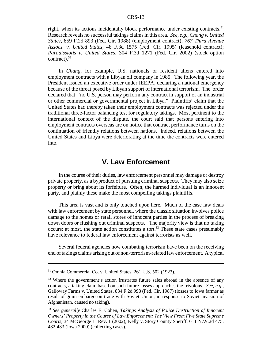right, when its actions incidentally block performance under existing contracts.<sup>31</sup> Research reveals no successful takings claims in this area. *See, e.g., Chang v. United States*, 859 F.2d 893 (Fed. Cir. 1988) (employment contract); *767 Third Avenue Assocs. v. United States*, 48 F.3d 1575 (Fed. Cir. 1995) (leasehold contract); *Paradissiotis v. United States*, 304 F.3d 1271 (Fed. Cir. 2002) (stock option contract). $32$ 

In *Chang*, for example, U.S. nationals or resident aliens entered into employment contracts with a Libyan oil company in 1985. The following year, the President issued an executive order under IEEPA, declaring a national emergency because of the threat posed by Libyan support of international terrorism. The order declared that "no U.S. person may perform any contract in support of an industrial or other commercial or governmental project in Libya." Plaintiffs' claim that the United States had thereby taken their employment contracts was rejected under the traditional three-factor balancing test for regulatory takings. Most pertinent to the international context of the dispute, the court said that persons entering into employment contracts overseas are on notice that contract performance turns on the continuation of friendly relations between nations. Indeed, relations between the United States and Libya were deteriorating at the time the contracts were entered into.

### **V. Law Enforcement**

In the course of their duties, law enforcement personnel may damage or destroy private property, as a byproduct of pursuing criminal suspects. They may also seize property or bring about its forfeiture. Often, the harmed individual is an innocent party, and plainly these make the most compelling takings plaintiffs.

This area is vast and is only touched upon here. Much of the case law deals with law enforcement by state personnel, where the classic situation involves police damage to the homes or retail stores of innocent parties in the process of breaking down doors or flushing out criminal suspects. The majority view is that no taking occurs; at most, the state action constitutes a tort.<sup>33</sup> These state cases presumably have relevance to federal law enforcement against terrorists as well.

Several federal agencies now combating terrorism have been on the receiving end of takings claims arising out of non-terrorism-related law enforcement. A typical

<sup>31</sup> Omnia Commercial Co. v. United States, 261 U.S. 502 (1923).

 $32$  Where the government's action frustrates future sales abroad in the absence of any contracts, a taking claim based on such future losses approaches the frivolous. *See, e.g.*, Galloway Farms v. United States, 834 F.2d 998 (Fed. Cir. 1987) (losses to Iowa farmer as result of grain embargo on trade with Soviet Union, in response to Soviet invasion of Afghanistan, caused no taking).

<sup>33</sup> *See generally* Charles E. Cohen, *Takings Analysis of Police Destruction of Innocent Owners' Property in the Course of Law Enforcement: The View From Five State Supreme Courts*, 34 McGeorge L. Rev. 1 (2002); Kelly v. Story County Sheriff, 611 N.W.2d 475, 482-483 (Iowa 2000) (collecting cases).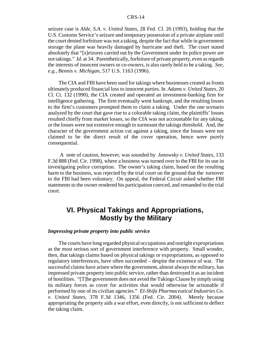seizure case is *Alde, S.A. v. United States*, 28 Fed. Cl. 26 (1993), holding that the U.S. Customs Service's seizure and temporary possession of a private airplane until the court denied forfeiture was not a taking, despite the fact that while in government storage the plane was heavily damaged by hurricane and theft. The court stated absolutely that "[s]eizures carried out by the Government under its police power are not takings." *Id*. at 34. Parenthetically, forfeiture of private property, even as regards the interests of innocent owners or co-owners, is also rarely held to be a taking. *See, e.g., Bennis v. Michigan*, 517 U.S. 1163 (1996).

The CIA and FBI have been sued for takings where businesses created as fronts ultimately produced financial loss to innocent parties. In *Adams v. United States*, 20 Cl. Ct. 132 (1990), the CIA created and operated an investment-banking firm for intelligence gathering. The firm eventually went bankrupt, and the resulting losses to the firm's customers prompted them to claim a taking. Under the one scenario analyzed by the court that gave rise to a colorable taking claim, the plaintiffs' losses resulted chiefly from market losses, so the CIA was not accountable for any taking, or the losses were not extensive enough to surmount the takings threshold. And, the character of the government action cut against a taking, since the losses were not claimed to be the direct result of the cover operation, hence were purely consequential.

 A note of caution, however, was sounded by *Janowsky v. United States*, 133 F.3d 888 (Fed. Cir. 1998), where a business was turned over to the FBI for its use in investigating police corruption. The owner's taking claim, based on the resulting harm to the business, was rejected by the trial court on the ground that the turnover to the FBI had been voluntary. On appeal, the Federal Circuit asked whether FBI statements to the owner rendered his participation coerced, and remanded to the trial court.

### **VI. Physical Takings and Appropriations, Mostly by the Military**

#### *Impressing private property into public service*

The courts have long regarded physical occupations and outright expropriations as the most serious sort of government interference with property. Small wonder, then, that takings claims based on physical takings or expropriations, as opposed to regulatory interferences, have often succeeded – despite the existence of war. The successful claims have arisen where the government, almost always the military, has impressed private property into public service, rather than destroyed it as an incident of hostilities. "[T]he government does not avoid the Takings Clause by simply using its military forces as cover for activities that would otherwise be actionable if performed by one of its civilian agencies." *El-Shifa Pharmaceutical Industries Co. v. United States*, 378 F.3d 1346, 1356 (Fed. Cir. 2004). Merely because appropriating the property aids a war effort, even directly, is not sufficient to deflect the taking claim.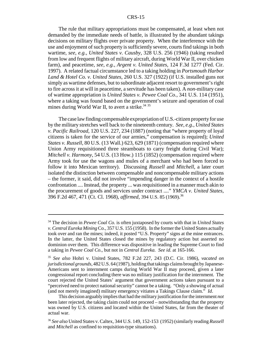The rule that military appropriations must be compensated, at least when not demanded by the immediate needs of battle, is illustrated by the abundant takings decisions on military flights over private property. When the interference with the use and enjoyment of such property is sufficiently severe, courts find takings in both wartime, *see, e.g., United States v. Causby*, 328 U.S. 256 (1946) (taking resulted from low and frequent flights of military aircraft, during World War II, over chicken farm), and peacetime, *see, e.g., Argent v. United States*, 124 F.3d 1277 (Fed. Cir. 1997). A related factual circumstance led to a taking holding in *Portsmouth Harbor Land & Hotel Co. v. United States*, 260 U.S. 327 (1922) (if U.S. installed guns not simply as wartime defenses, but to subordinate adjacent resort to government's right to fire across it at will in peacetime, a servitude has been taken). A *non*-military case of wartime appropriation is *United States v. Pewee Coal Co.*, 341 U.S. 114 (1951), where a taking was found based on the government's seizure and operation of coal mines during World War II, to avert a strike. $3435$ 

The case law finding compensable expropriation of U.S.-citizen property for use by the military stretches well back to the nineteenth century. *See, e.g., United States v. Pacific Railroad*, 120 U.S. 227, 234 (1887) (noting that "where property of loyal citizens is taken for the service of our armies," compensation is required); *United States v. Russell*, 80 U.S. (13 Wall.) 623, 629 (1871) (compensation required where Union Army requisitioned three steamboats to carry freight during Civil War); *Mitchell v. Harmony*, 54 U.S. (13 How.) 115 (1852) (compensation required where Army took for use the wagons and mules of a merchant who had been forced to follow it into Mexican territory). Discussing *Russell* and *Mitchell*, a later court isolated the distinction between compensable and noncompensable military actions – the former, it said, did not involve "impending danger in the context of a hostile confrontation .... Instead, the property ... was requisitioned in a manner much akin to the procurement of goods and services under contract ...." *YMCA v. United States*, 396 F.2d 467, 471 (Ct. Cl. 1968), *affirmed*, 394 U.S. 85 (1969). 36

<sup>34</sup> The decision in *Pewee Coal Co.* is often juxtaposed by courts with that in *United States v. Central Eureka Mining* Co., 357 U.S. 155 (1958). In the former the United States actually took over and ran the mines; indeed, it posted "U.S. Property" signs at the mine entrances. In the latter, the United States closed the mines by regulatory action but asserted no dominion over them. This difference was dispositive in leading the Supreme Court to find a taking in *Pewee Coal Co.*, but not in *Central Eureka. See id*. at 165-166.

<sup>35</sup> *See also* Hohri v. United States, 782 F.2d 227, 243 (D.C. Cir. 1986), *vacated on jurisdictional grounds*, 482 U.S. 64 (1987), holding that takings claims brought by Japanese-Americans sent to internment camps during World War II may proceed, given a later congressional report concluding there was no military justification for the internment. The court rejected the United States' argument that government actions taken pursuant to a "perceived need to protect national security" cannot be a taking. "Only a showing of actual (and not merely imagined) military emergency vitiates a Takings Clause claim." *Id*.

This decision arguably implies that had the military justification for the internment *not* been later rejected, the taking claim could not proceed – notwithstanding that the property was owned by U.S. citizens and located within the United States, far from the theater of actual war.

<sup>36</sup> *See also* United States v. Caltex, 344 U.S. 149, 152-153 (1952) (similarly reading *Russell* and *Mitchell* as confined to requisition-type situations).